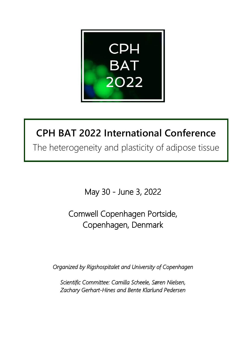

# **CPH BAT 2022 International Conference**

The heterogeneity and plasticity of adipose tissue

May 30 - June 3, 2022

Comwell Copenhagen Portside, Copenhagen, Denmark

*Organized by Rigshospitalet and University of Copenhagen* 

*Scientific Committee: Camilla Scheele, Søren Nielsen, Zachary Gerhart-Hines and Bente Klarlund Pedersen*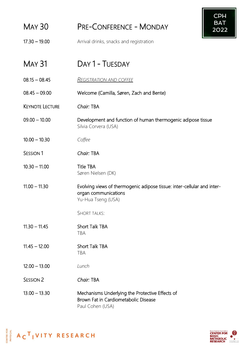|                        | <b>CPH</b>                                                                                                            |
|------------------------|-----------------------------------------------------------------------------------------------------------------------|
| <b>MAY 30</b>          | <b>BAT</b><br><b>PRE-CONFERENCE - MONDAY</b><br>2022                                                                  |
| $17.30 - 19.00$        | Arrival drinks, snacks and registration                                                                               |
| <b>MAY 31</b>          | DAY 1 - TUESDAY                                                                                                       |
| $08.15 - 08.45$        | <u>REGISTRATION AND COFFEE</u>                                                                                        |
| $08.45 - 09.00$        | Welcome (Camilla, Søren, Zach and Bente)                                                                              |
| <b>KEYNOTE LECTURE</b> | Chair: TBA                                                                                                            |
| $09.00 - 10.00$        | Development and function of human thermogenic adipose tissue<br>Silvia Corvera (USA)                                  |
| $10.00 - 10.30$        | Coffee                                                                                                                |
| SESSION <sub>1</sub>   | Chair: TBA                                                                                                            |
| $10.30 - 11.00$        | <b>Title TBA</b><br>Søren Nielsen (DK)                                                                                |
| $11.00 - 11.30$        | Evolving views of thermogenic adipose tissue: inter-cellular and inter-<br>organ communications<br>Yu-Hua Tseng (USA) |
|                        | <b>SHORT TALKS:</b>                                                                                                   |
| $11.30 - 11.45$        | <b>Short Talk TBA</b><br><b>TBA</b>                                                                                   |
| $11.45 - 12.00$        | <b>Short Talk TBA</b><br><b>TBA</b>                                                                                   |
| $12.00 - 13.00$        | Lunch                                                                                                                 |
| <b>SESSION 2</b>       | Chair: TBA                                                                                                            |
| $13.00 - 13.30$        | Mechanisms Underlying the Protective Effects of<br>Brown Fat in Cardiometabolic Disease<br>Paul Cohen (USA)           |



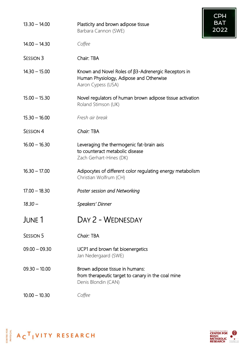|                  |                                                                                                                      | <b>CPH</b>         |
|------------------|----------------------------------------------------------------------------------------------------------------------|--------------------|
| $13.30 - 14.00$  | Plasticity and brown adipose tissue<br>Barbara Cannon (SWE)                                                          | <b>BAT</b><br>2022 |
| $14.00 - 14.30$  | Coffee                                                                                                               |                    |
| <b>SESSION 3</b> | Chair: TBA                                                                                                           |                    |
| $14.30 - 15.00$  | Known and Novel Roles of β3-Adrenergic Receptors in<br>Human Physiology, Adipose and Otherwise<br>Aaron Cypess (USA) |                    |
| $15.00 - 15.30$  | Novel regulators of human brown adipose tissue activation<br>Roland Stimson (UK)                                     |                    |
| $15.30 - 16.00$  | Fresh air break                                                                                                      |                    |
| <b>SESSION 4</b> | Chair: TBA                                                                                                           |                    |
| $16.00 - 16.30$  | Leveraging the thermogenic fat-brain axis<br>to counteract metabolic disease<br>Zach Gerhart-Hines (DK)              |                    |
| $16.30 - 17.00$  | Adipocytes of different color regulating energy metabolism<br>Christian Wolfrum (CH)                                 |                    |
| $17.00 - 18.30$  | Poster session and Networking                                                                                        |                    |
| $18.30 -$        | Speakers' Dinner                                                                                                     |                    |
| JUNE 1           | DAY 2 - WEDNESDAY                                                                                                    |                    |
| <b>SESSION 5</b> | Chair: TBA                                                                                                           |                    |
| $09.00 - 09.30$  | UCP1 and brown fat bioenergetics<br>Jan Nedergaard (SWE)                                                             |                    |
| $09.30 - 10.00$  | Brown adipose tissue in humans:<br>from therapeutic target to canary in the coal mine<br>Denis Blondin (CAN)         |                    |
| $10.00 - 10.30$  | Coffee                                                                                                               |                    |



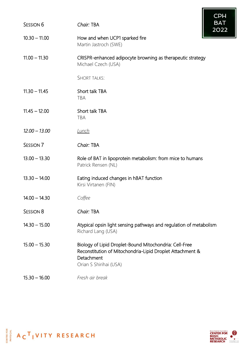| <b>SESSION 6</b> | <b>CPH</b><br><b>BAT</b><br>Chair: TBA                                                                                                                      |
|------------------|-------------------------------------------------------------------------------------------------------------------------------------------------------------|
|                  | 2022                                                                                                                                                        |
| $10.30 - 11.00$  | How and when UCP1 sparked fire<br>Martin Jastroch (SWE)                                                                                                     |
| $11.00 - 11.30$  | CRISPR-enhanced adipocyte browning as therapeutic strategy<br>Michael Czech (USA)                                                                           |
|                  | <b>SHORT TALKS:</b>                                                                                                                                         |
| $11.30 - 11.45$  | Short talk TBA<br><b>TBA</b>                                                                                                                                |
| $11.45 - 12.00$  | Short talk TBA<br><b>TBA</b>                                                                                                                                |
| $12.00 - 13.00$  | <u>Lunch</u>                                                                                                                                                |
| <b>SESSION 7</b> | Chair: TBA                                                                                                                                                  |
| $13.00 - 13.30$  | Role of BAT in lipoprotein metabolism: from mice to humans<br>Patrick Rensen (NL)                                                                           |
| $13.30 - 14.00$  | Eating induced changes in hBAT function<br>Kirsi Virtanen (FIN)                                                                                             |
| $14.00 - 14.30$  | Coffee                                                                                                                                                      |
| <b>SESSION 8</b> | Chair: TBA                                                                                                                                                  |
| $14.30 - 15.00$  | Atypical opsin light sensing pathways and regulation of metabolism<br>Richard Lang (USA)                                                                    |
| $15.00 - 15.30$  | Biology of Lipid Droplet-Bound Mitochondria: Cell-Free<br>Reconstitution of Mitochondria-Lipid Droplet Attachment &<br>Detachment<br>Orian S Shirihai (USA) |
| $15.30 - 16.00$  | Fresh air break                                                                                                                                             |



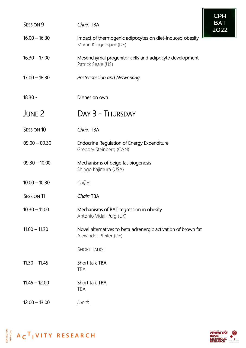| <b>SESSION 9</b>  | Chair: TBA                                                                              | <b>CPH</b><br><b>BAT</b><br>2022 |
|-------------------|-----------------------------------------------------------------------------------------|----------------------------------|
| $16.00 - 16.30$   | Impact of thermogenic adipocytes on diet-induced obesity<br>Martin Klingenspor (DE)     |                                  |
| $16.30 - 17.00$   | Mesenchymal progenitor cells and adipocyte development<br>Patrick Seale (US)            |                                  |
| $17.00 - 18.30$   | Poster session and Networking                                                           |                                  |
| $18.30 -$         | Dinner on own                                                                           |                                  |
| JUNE 2            | DAY 3 - THURSDAY                                                                        |                                  |
| <b>SESSION 10</b> | Chair: TBA                                                                              |                                  |
| $09.00 - 09.30$   | Endocrine Regulation of Energy Expenditure<br>Gregory Steinberg (CAN)                   |                                  |
| $09.30 - 10.00$   | Mechanisms of beige fat biogenesis<br>Shingo Kajimura (USA)                             |                                  |
| $10.00 - 10.30$   | Coffee                                                                                  |                                  |
| <b>SESSION 11</b> | Chair: TBA                                                                              |                                  |
| $10.30 - 11.00$   | Mechanisms of BAT regression in obesity<br>Antonio Vidal-Puig (UK)                      |                                  |
| $11.00 - 11.30$   | Novel alternatives to beta adrenergic activation of brown fat<br>Alexander Pfeifer (DE) |                                  |
|                   | <b>SHORT TALKS:</b>                                                                     |                                  |
| $11.30 - 11.45$   | Short talk TBA<br><b>TBA</b>                                                            |                                  |
| $11.45 - 12.00$   | Short talk TBA<br><b>TBA</b>                                                            |                                  |
| $12.00 - 13.00$   | <u>Lunch</u>                                                                            |                                  |



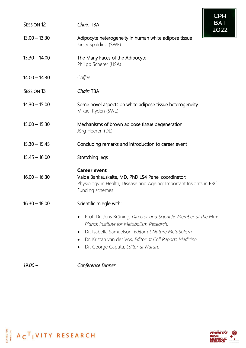|                       | CPH                                                                                                                                                                                                                                                                                   |
|-----------------------|---------------------------------------------------------------------------------------------------------------------------------------------------------------------------------------------------------------------------------------------------------------------------------------|
| <b>SESSION 12</b>     | <b>BAT</b><br>Chair: TBA<br>2022                                                                                                                                                                                                                                                      |
| $13.00 - 13.30$       | Adipocyte heterogeneity in human white adipose tissue<br>Kirsty Spalding (SWE)                                                                                                                                                                                                        |
| $13.30 - 14.00$       | The Many Faces of the Adipocyte<br>Philipp Scherer (USA)                                                                                                                                                                                                                              |
| $14.00 - 14.30$       | Coffee                                                                                                                                                                                                                                                                                |
| SESSION <sub>13</sub> | Chair: TBA                                                                                                                                                                                                                                                                            |
| $14.30 - 15.00$       | Some novel aspects on white adipose tissue heterogeneity<br>Mikael Rydén (SWE)                                                                                                                                                                                                        |
| $15.00 - 15.30$       | Mechanisms of brown adipose tissue degeneration<br>Jörg Heeren (DE)                                                                                                                                                                                                                   |
| $15.30 - 15.45$       | Concluding remarks and introduction to career event                                                                                                                                                                                                                                   |
| $15.45 - 16.00$       | Stretching legs                                                                                                                                                                                                                                                                       |
| $16.00 - 16.30$       | <b>Career event</b><br>Vaida Bankauskaite, MD, PhD LS4 Panel coordinator:<br>Physiology in Health, Disease and Ageing: Important Insights in ERC<br>Funding schemes                                                                                                                   |
| $16.30 - 18.00$       | Scientific mingle with:                                                                                                                                                                                                                                                               |
|                       | Prof. Dr. Jens Brüning, Director and Scientific Member at the Max<br>$\bullet$<br>Planck Institute for Metabolism Research.<br>Dr. Isabella Samuelson, Editor at Nature Metabolism<br>Dr. Kristan van der Vos, Editor at Cell Reports Medicine<br>Dr. George Caputa, Editor at Nature |

*19.00 – Conference Dinner*



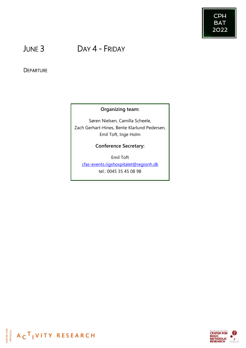

# JUNE 3 DAY 4 - FRIDAY

# **DEPARTURE**

# **Organizing team:**

Søren Nielsen, Camilla Scheele, Zach Gerhart-Hines, Bente Klarlund Pedersen, Emil Toft, Inge Holm

# **Conference Secretary:**

Emil Toft [cfas-events.rigshospitalet@regionh.dk](mailto:cfas-events.rigshospitalet@regionh.dk) tel.: 0045 35 45 08 98



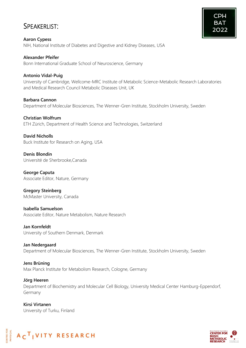# SPEAKERLIST:

### **Alexander Pfeifer**

Bonn International Graduate School of Neuroscience, Germany

## **Antonio Vidal-Puig**

University of Cambridge, Wellcome-MRC Institute of Metabolic Science-Metabolic Research Laboratories and Medical Research Council Metabolic Diseases Unit, UK

**Barbara Cannon** Department of Molecular Biosciences, The Wenner-Gren Institute, Stockholm University, Sweden

#### **Christian Wolfrum**

ETH Zürich, Department of Health Science and Technologies, Switzerland

**David Nicholls** Buck Institute for Research on Aging, USA

**Denis Blondin** Université de Sherbrooke,Canada

**George Caputa** Associate Editor, Nature, Germany

**Gregory Steinberg** McMaster University, Canada

**Isabella Samuelson** Associate Editor, Nature Metabolism, Nature Research

**Jan Kornfeldt** University of Southern Denmark, Denmark

**Jan Nedergaard** Department of Molecular Biosciences, The Wenner-Gren Institute, Stockholm University, Sweden

**Jens Brüning** Max Planck Institute for Metabolism Research, Cologne, Germany

**Jörg Heeren** Department of Biochemistry and Molecular Cell Biology, University Medical Center Hamburg-Eppendorf, Germany

**Kirsi Virtanen** University of Turku, Finland





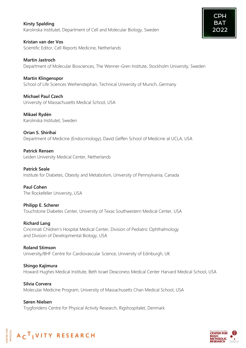# **Kirsty Spalding** Karolinska Institutet, Department of Cell and Molecular Biology, Sweden

**Kristan van der Vos** Scientific Editor, Cell Reports Medicine, Netherlands

**Martin Jastroch** Department of Molecular Biosciences, The Wenner-Gren Institute, Stockholm University, Sweden

**Martin Klingenspor** School of Life Sciences Weihenstephan, Technical University of Munich, Germany

**Michael Paul Czech** University of Massachusetts Medical School, USA

**Mikael Rydén** Karolinska Institutet, Sweden

**Orian S. Shirihai** Department of Medicine (Endocrinology), David Geffen School of Medicine at UCLA, USA

**Patrick Rensen** Leiden University Medical Center, Netherlands

**Patrick Seale** Institute for Diabetes, Obesity and Metabolism, University of Pennsylvania, Canada

**Paul Cohen** The Rockefeller University, USA

**Philipp E. Scherer** Touchstone Diabetes Center, University of Texas Southwestern Medical Center, USA

**Richard Lang** Cincinnati Children's Hospital Medical Center, Division of Pediatric Ophthalmology and Division of Developmental Biology, USA

**Roland Stimson** University/BHF Centre for Cardiovascular Science, University of Edinburgh, UK

**Shingo Kajimura** Howard Hughes Medical Institute, Beth Israel Deaconess Medical Center Harvard Medical School, USA

**Silvia Corvera** Molecular Medicine Program, University of Massachusetts Chan Medical School, USA

**Søren Nielsen** Trygfondens Centre for Physical Activity Research, Rigshospitalet, Denmark